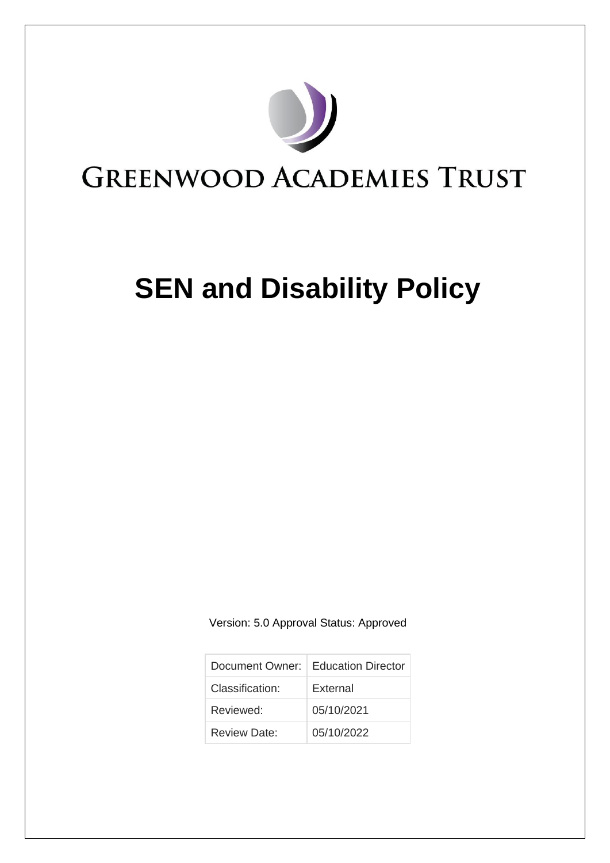

# **SEN and Disability Policy**

Version: 5.0 Approval Status: Approved

|                 | Document Owner:   Education Director |
|-----------------|--------------------------------------|
| Classification: | External                             |
| Reviewed:       | 05/10/2021                           |
| Review Date:    | 05/10/2022                           |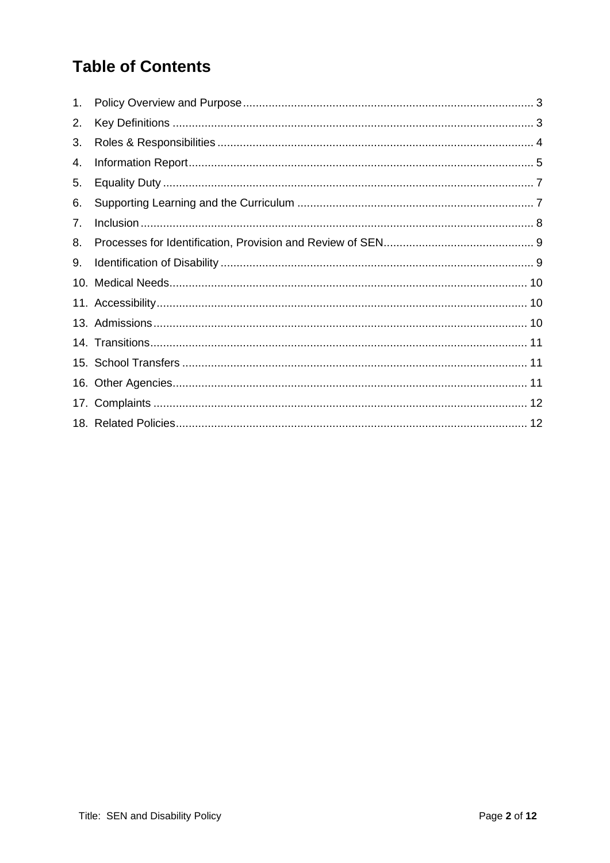# **Table of Contents**

| 1. |  |
|----|--|
| 2. |  |
| 3. |  |
| 4. |  |
| 5. |  |
| 6. |  |
| 7. |  |
| 8. |  |
| 9. |  |
|    |  |
|    |  |
|    |  |
|    |  |
|    |  |
|    |  |
|    |  |
|    |  |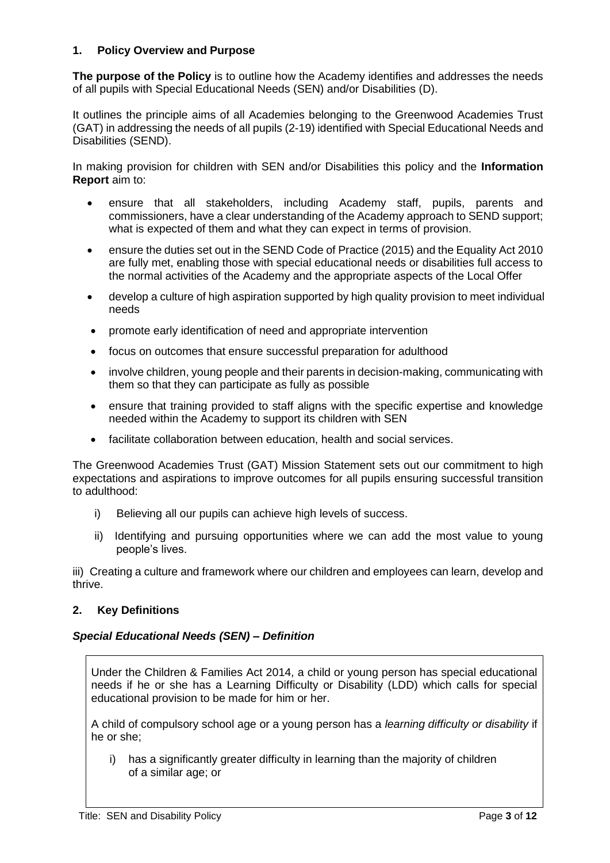### <span id="page-2-0"></span>**1. Policy Overview and Purpose**

**The purpose of the Policy** is to outline how the Academy identifies and addresses the needs of all pupils with Special Educational Needs (SEN) and/or Disabilities (D).

It outlines the principle aims of all Academies belonging to the Greenwood Academies Trust (GAT) in addressing the needs of all pupils (2-19) identified with Special Educational Needs and Disabilities (SEND).

In making provision for children with SEN and/or Disabilities this policy and the **Information Report** aim to:

- ensure that all stakeholders, including Academy staff, pupils, parents and commissioners, have a clear understanding of the Academy approach to SEND support; what is expected of them and what they can expect in terms of provision.
- ensure the duties set out in the SEND Code of Practice (2015) and the Equality Act 2010 are fully met, enabling those with special educational needs or disabilities full access to the normal activities of the Academy and the appropriate aspects of the Local Offer
- develop a culture of high aspiration supported by high quality provision to meet individual needs
- promote early identification of need and appropriate intervention
- focus on outcomes that ensure successful preparation for adulthood
- involve children, young people and their parents in decision-making, communicating with them so that they can participate as fully as possible
- ensure that training provided to staff aligns with the specific expertise and knowledge needed within the Academy to support its children with SEN
- facilitate collaboration between education, health and social services.

The Greenwood Academies Trust (GAT) Mission Statement sets out our commitment to high expectations and aspirations to improve outcomes for all pupils ensuring successful transition to adulthood:

- i) Believing all our pupils can achieve high levels of success.
- ii) Identifying and pursuing opportunities where we can add the most value to young people's lives.

iii) Creating a culture and framework where our children and employees can learn, develop and thrive.

#### <span id="page-2-1"></span>**2. Key Definitions**

#### *Special Educational Needs (SEN) – Definition*

Under the Children & Families Act 2014, a child or young person has special educational needs if he or she has a Learning Difficulty or Disability (LDD) which calls for special educational provision to be made for him or her.

A child of compulsory school age or a young person has a *learning difficulty or disability* if he or she;

i) has a significantly greater difficulty in learning than the majority of children of a similar age; or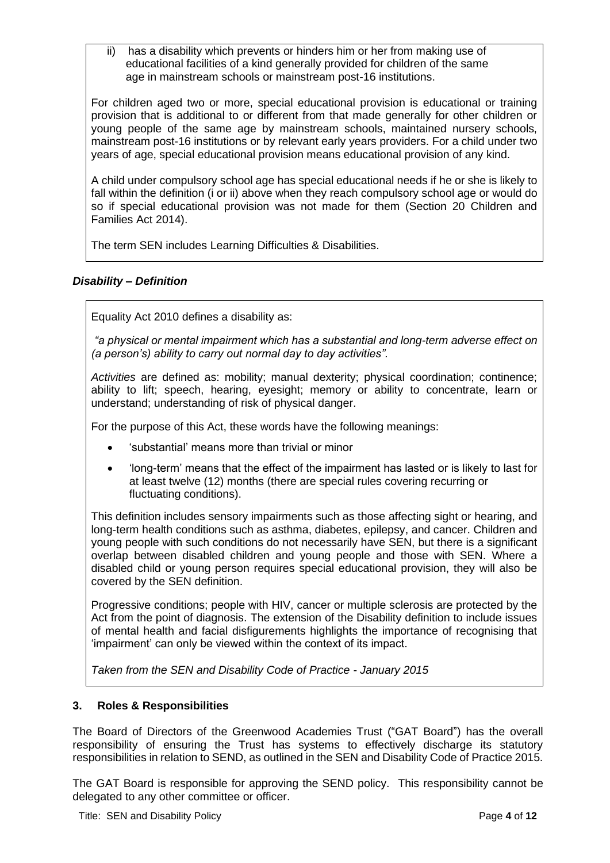ii) has a disability which prevents or hinders him or her from making use of educational facilities of a kind generally provided for children of the same age in mainstream schools or mainstream post-16 institutions.

For children aged two or more, special educational provision is educational or training provision that is additional to or different from that made generally for other children or young people of the same age by mainstream schools, maintained nursery schools, mainstream post-16 institutions or by relevant early years providers. For a child under two years of age, special educational provision means educational provision of any kind.

A child under compulsory school age has special educational needs if he or she is likely to fall within the definition (i or ii) above when they reach compulsory school age or would do so if special educational provision was not made for them (Section 20 Children and Families Act 2014).

The term SEN includes Learning Difficulties & Disabilities.

# *Disability – Definition*

Equality Act 2010 defines a disability as:

*"a physical or mental impairment which has a substantial and long-term adverse effect on (a person's) ability to carry out normal day to day activities".*

*Activities* are defined as: mobility; manual dexterity; physical coordination; continence; ability to lift; speech, hearing, eyesight; memory or ability to concentrate, learn or understand; understanding of risk of physical danger.

For the purpose of this Act, these words have the following meanings:

- 'substantial' means more than trivial or minor
- 'long-term' means that the effect of the impairment has lasted or is likely to last for at least twelve (12) months (there are special rules covering recurring or fluctuating conditions).

This definition includes sensory impairments such as those affecting sight or hearing, and long-term health conditions such as asthma, diabetes, epilepsy, and cancer. Children and young people with such conditions do not necessarily have SEN, but there is a significant overlap between disabled children and young people and those with SEN. Where a disabled child or young person requires special educational provision, they will also be covered by the SEN definition.

Progressive conditions; people with HIV, cancer or multiple sclerosis are protected by the Act from the point of diagnosis. The extension of the Disability definition to include issues of mental health and facial disfigurements highlights the importance of recognising that 'impairment' can only be viewed within the context of its impact.

*Taken from the SEN and Disability Code of Practice - January 2015*

#### <span id="page-3-0"></span>**3. Roles & Responsibilities**

The Board of Directors of the Greenwood Academies Trust ("GAT Board") has the overall responsibility of ensuring the Trust has systems to effectively discharge its statutory responsibilities in relation to SEND, as outlined in the SEN and Disability Code of Practice 2015.

The GAT Board is responsible for approving the SEND policy. This responsibility cannot be delegated to any other committee or officer.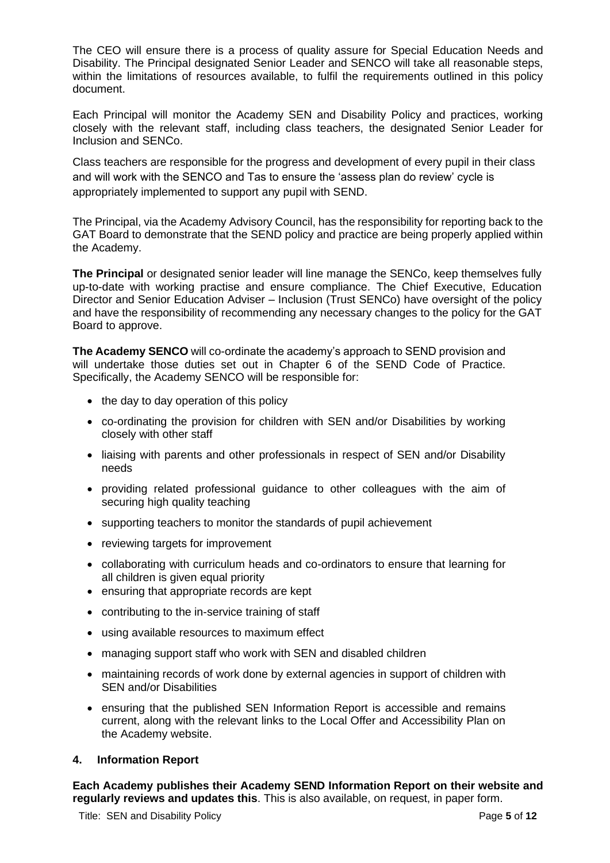The CEO will ensure there is a process of quality assure for Special Education Needs and Disability. The Principal designated Senior Leader and SENCO will take all reasonable steps. within the limitations of resources available, to fulfil the requirements outlined in this policy document.

Each Principal will monitor the Academy SEN and Disability Policy and practices, working closely with the relevant staff, including class teachers, the designated Senior Leader for Inclusion and SENCo.

Class teachers are responsible for the progress and development of every pupil in their class and will work with the SENCO and Tas to ensure the 'assess plan do review' cycle is appropriately implemented to support any pupil with SEND.

The Principal, via the Academy Advisory Council, has the responsibility for reporting back to the GAT Board to demonstrate that the SEND policy and practice are being properly applied within the Academy.

**The Principal** or designated senior leader will line manage the SENCo, keep themselves fully up-to-date with working practise and ensure compliance. The Chief Executive, Education Director and Senior Education Adviser – Inclusion (Trust SENCo) have oversight of the policy and have the responsibility of recommending any necessary changes to the policy for the GAT Board to approve.

**The Academy SENCO** will co-ordinate the academy's approach to SEND provision and will undertake those duties set out in Chapter 6 of the SEND Code of Practice. Specifically, the Academy SENCO will be responsible for:

- the day to day operation of this policy
- co-ordinating the provision for children with SEN and/or Disabilities by working closely with other staff
- liaising with parents and other professionals in respect of SEN and/or Disability needs
- providing related professional guidance to other colleagues with the aim of securing high quality teaching
- supporting teachers to monitor the standards of pupil achievement
- reviewing targets for improvement
- collaborating with curriculum heads and co-ordinators to ensure that learning for all children is given equal priority
- ensuring that appropriate records are kept
- contributing to the in-service training of staff
- using available resources to maximum effect
- managing support staff who work with SEN and disabled children
- maintaining records of work done by external agencies in support of children with SEN and/or Disabilities
- ensuring that the published SEN Information Report is accessible and remains current, along with the relevant links to the Local Offer and Accessibility Plan on the Academy website.

#### <span id="page-4-0"></span>**4. Information Report**

**Each Academy publishes their Academy SEND Information Report on their website and regularly reviews and updates this**. This is also available, on request, in paper form.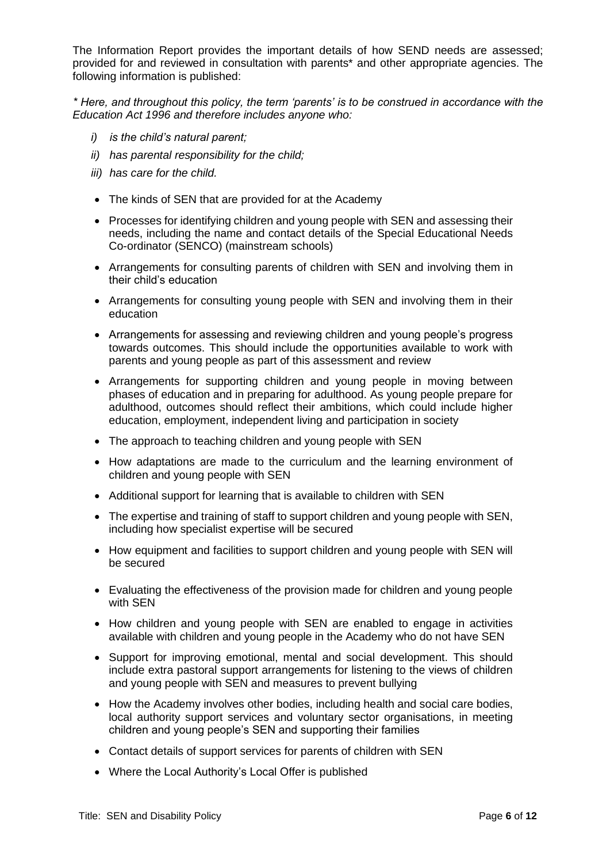The Information Report provides the important details of how SEND needs are assessed; provided for and reviewed in consultation with parents\* and other appropriate agencies. The following information is published:

*\* Here, and throughout this policy, the term 'parents' is to be construed in accordance with the Education Act 1996 and therefore includes anyone who:* 

- *i) is the child's natural parent;*
- *ii) has parental responsibility for the child;*
- *iii) has care for the child.*
- The kinds of SEN that are provided for at the Academy
- Processes for identifying children and young people with SEN and assessing their needs, including the name and contact details of the Special Educational Needs Co-ordinator (SENCO) (mainstream schools)
- Arrangements for consulting parents of children with SEN and involving them in their child's education
- Arrangements for consulting young people with SEN and involving them in their education
- Arrangements for assessing and reviewing children and young people's progress towards outcomes. This should include the opportunities available to work with parents and young people as part of this assessment and review
- Arrangements for supporting children and young people in moving between phases of education and in preparing for adulthood. As young people prepare for adulthood, outcomes should reflect their ambitions, which could include higher education, employment, independent living and participation in society
- The approach to teaching children and young people with SEN
- How adaptations are made to the curriculum and the learning environment of children and young people with SEN
- Additional support for learning that is available to children with SEN
- The expertise and training of staff to support children and young people with SEN, including how specialist expertise will be secured
- How equipment and facilities to support children and young people with SEN will be secured
- Evaluating the effectiveness of the provision made for children and young people with SEN
- How children and young people with SEN are enabled to engage in activities available with children and young people in the Academy who do not have SEN
- Support for improving emotional, mental and social development. This should include extra pastoral support arrangements for listening to the views of children and young people with SEN and measures to prevent bullying
- How the Academy involves other bodies, including health and social care bodies, local authority support services and voluntary sector organisations, in meeting children and young people's SEN and supporting their families
- Contact details of support services for parents of children with SEN
- Where the Local Authority's Local Offer is published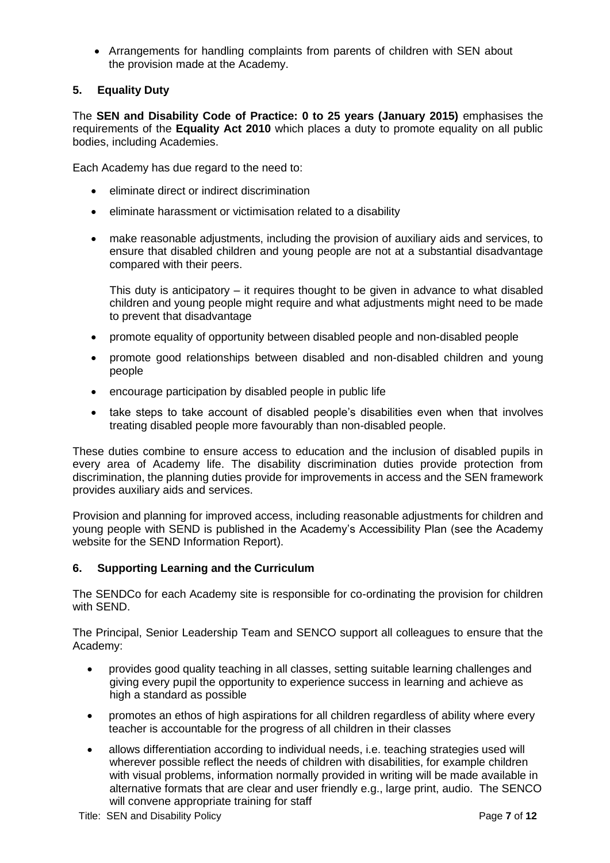• Arrangements for handling complaints from parents of children with SEN about the provision made at the Academy.

### <span id="page-6-0"></span>**5. Equality Duty**

The **SEN and Disability Code of Practice: 0 to 25 years (January 2015)** emphasises the requirements of the **Equality Act 2010** which places a duty to promote equality on all public bodies, including Academies.

Each Academy has due regard to the need to:

- eliminate direct or indirect discrimination
- eliminate harassment or victimisation related to a disability
- make reasonable adjustments, including the provision of auxiliary aids and services, to ensure that disabled children and young people are not at a substantial disadvantage compared with their peers.

This duty is anticipatory – it requires thought to be given in advance to what disabled children and young people might require and what adjustments might need to be made to prevent that disadvantage

- promote equality of opportunity between disabled people and non-disabled people
- promote good relationships between disabled and non-disabled children and young people
- encourage participation by disabled people in public life
- take steps to take account of disabled people's disabilities even when that involves treating disabled people more favourably than non-disabled people.

These duties combine to ensure access to education and the inclusion of disabled pupils in every area of Academy life. The disability discrimination duties provide protection from discrimination, the planning duties provide for improvements in access and the SEN framework provides auxiliary aids and services.

Provision and planning for improved access, including reasonable adjustments for children and young people with SEND is published in the Academy's Accessibility Plan (see the Academy website for the SEND Information Report).

#### <span id="page-6-1"></span>**6. Supporting Learning and the Curriculum**

The SENDCo for each Academy site is responsible for co-ordinating the provision for children with SEND.

The Principal, Senior Leadership Team and SENCO support all colleagues to ensure that the Academy:

- provides good quality teaching in all classes, setting suitable learning challenges and giving every pupil the opportunity to experience success in learning and achieve as high a standard as possible
- promotes an ethos of high aspirations for all children regardless of ability where every teacher is accountable for the progress of all children in their classes
- allows differentiation according to individual needs, i.e. teaching strategies used will wherever possible reflect the needs of children with disabilities, for example children with visual problems, information normally provided in writing will be made available in alternative formats that are clear and user friendly e.g., large print, audio. The SENCO will convene appropriate training for staff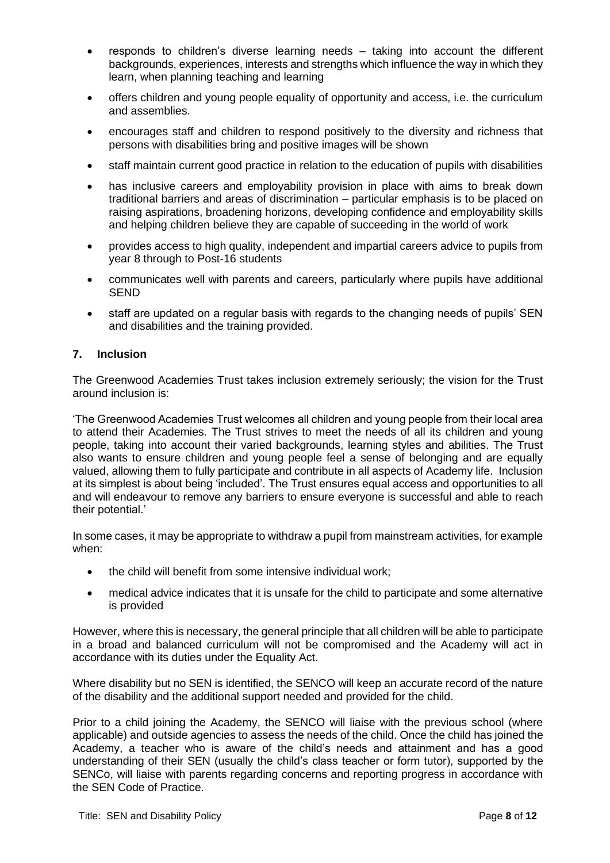- responds to children's diverse learning needs taking into account the different backgrounds, experiences, interests and strengths which influence the way in which they learn, when planning teaching and learning
- offers children and young people equality of opportunity and access, i.e. the curriculum and assemblies.
- encourages staff and children to respond positively to the diversity and richness that persons with disabilities bring and positive images will be shown
- staff maintain current good practice in relation to the education of pupils with disabilities
- has inclusive careers and employability provision in place with aims to break down traditional barriers and areas of discrimination – particular emphasis is to be placed on raising aspirations, broadening horizons, developing confidence and employability skills and helping children believe they are capable of succeeding in the world of work
- provides access to high quality, independent and impartial careers advice to pupils from year 8 through to Post-16 students
- communicates well with parents and careers, particularly where pupils have additional SEND
- staff are updated on a regular basis with regards to the changing needs of pupils' SEN and disabilities and the training provided.

#### <span id="page-7-0"></span>**7. Inclusion**

The Greenwood Academies Trust takes inclusion extremely seriously; the vision for the Trust around inclusion is:

'The Greenwood Academies Trust welcomes all children and young people from their local area to attend their Academies. The Trust strives to meet the needs of all its children and young people, taking into account their varied backgrounds, learning styles and abilities. The Trust also wants to ensure children and young people feel a sense of belonging and are equally valued, allowing them to fully participate and contribute in all aspects of Academy life. Inclusion at its simplest is about being 'included'. The Trust ensures equal access and opportunities to all and will endeavour to remove any barriers to ensure everyone is successful and able to reach their potential.'

In some cases, it may be appropriate to withdraw a pupil from mainstream activities, for example when:

- the child will benefit from some intensive individual work;
- medical advice indicates that it is unsafe for the child to participate and some alternative is provided

However, where this is necessary, the general principle that all children will be able to participate in a broad and balanced curriculum will not be compromised and the Academy will act in accordance with its duties under the Equality Act.

Where disability but no SEN is identified, the SENCO will keep an accurate record of the nature of the disability and the additional support needed and provided for the child.

Prior to a child joining the Academy, the SENCO will liaise with the previous school (where applicable) and outside agencies to assess the needs of the child. Once the child has joined the Academy, a teacher who is aware of the child's needs and attainment and has a good understanding of their SEN (usually the child's class teacher or form tutor), supported by the SENCo, will liaise with parents regarding concerns and reporting progress in accordance with the SEN Code of Practice.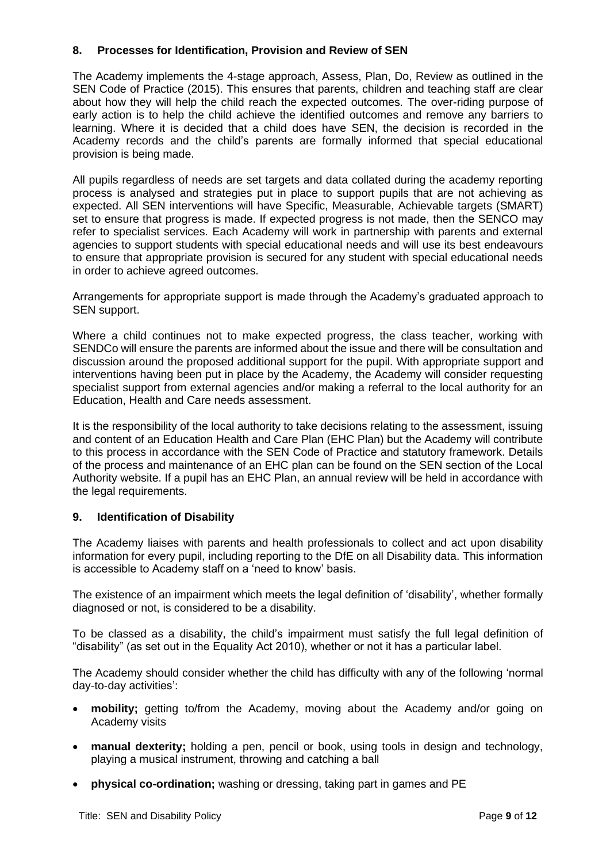#### <span id="page-8-0"></span>**8. Processes for Identification, Provision and Review of SEN**

The Academy implements the 4-stage approach, Assess, Plan, Do, Review as outlined in the SEN Code of Practice (2015). This ensures that parents, children and teaching staff are clear about how they will help the child reach the expected outcomes. The over-riding purpose of early action is to help the child achieve the identified outcomes and remove any barriers to learning. Where it is decided that a child does have SEN, the decision is recorded in the Academy records and the child's parents are formally informed that special educational provision is being made.

All pupils regardless of needs are set targets and data collated during the academy reporting process is analysed and strategies put in place to support pupils that are not achieving as expected. All SEN interventions will have Specific, Measurable, Achievable targets (SMART) set to ensure that progress is made. If expected progress is not made, then the SENCO may refer to specialist services. Each Academy will work in partnership with parents and external agencies to support students with special educational needs and will use its best endeavours to ensure that appropriate provision is secured for any student with special educational needs in order to achieve agreed outcomes.

Arrangements for appropriate support is made through the Academy's graduated approach to SEN support.

Where a child continues not to make expected progress, the class teacher, working with SENDCo will ensure the parents are informed about the issue and there will be consultation and discussion around the proposed additional support for the pupil. With appropriate support and interventions having been put in place by the Academy, the Academy will consider requesting specialist support from external agencies and/or making a referral to the local authority for an Education, Health and Care needs assessment.

It is the responsibility of the local authority to take decisions relating to the assessment, issuing and content of an Education Health and Care Plan (EHC Plan) but the Academy will contribute to this process in accordance with the SEN Code of Practice and statutory framework. Details of the process and maintenance of an EHC plan can be found on the SEN section of the Local Authority website. If a pupil has an EHC Plan, an annual review will be held in accordance with the legal requirements.

#### <span id="page-8-1"></span>**9. Identification of Disability**

The Academy liaises with parents and health professionals to collect and act upon disability information for every pupil, including reporting to the DfE on all Disability data. This information is accessible to Academy staff on a 'need to know' basis.

The existence of an impairment which meets the legal definition of 'disability', whether formally diagnosed or not, is considered to be a disability.

To be classed as a disability, the child's impairment must satisfy the full legal definition of "disability" (as set out in the Equality Act 2010), whether or not it has a particular label.

The Academy should consider whether the child has difficulty with any of the following 'normal day-to-day activities':

- **mobility;** getting to/from the Academy, moving about the Academy and/or going on Academy visits
- **manual dexterity:** holding a pen, pencil or book, using tools in design and technology, playing a musical instrument, throwing and catching a ball
- **physical co-ordination;** washing or dressing, taking part in games and PE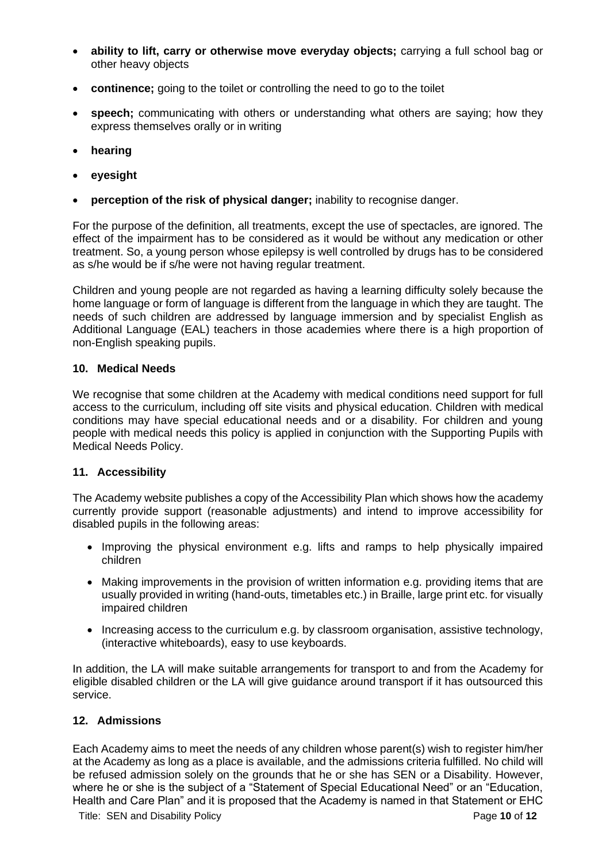- **ability to lift, carry or otherwise move everyday objects;** carrying a full school bag or other heavy objects
- **continence:** going to the toilet or controlling the need to go to the toilet
- **speech;** communicating with others or understanding what others are saying; how they express themselves orally or in writing
- **hearing**
- **eyesight**
- **perception of the risk of physical danger;** inability to recognise danger.

For the purpose of the definition, all treatments, except the use of spectacles, are ignored. The effect of the impairment has to be considered as it would be without any medication or other treatment. So, a young person whose epilepsy is well controlled by drugs has to be considered as s/he would be if s/he were not having regular treatment.

Children and young people are not regarded as having a learning difficulty solely because the home language or form of language is different from the language in which they are taught. The needs of such children are addressed by language immersion and by specialist English as Additional Language (EAL) teachers in those academies where there is a high proportion of non-English speaking pupils.

#### <span id="page-9-0"></span>**10. Medical Needs**

We recognise that some children at the Academy with medical conditions need support for full access to the curriculum, including off site visits and physical education. Children with medical conditions may have special educational needs and or a disability. For children and young people with medical needs this policy is applied in conjunction with the Supporting Pupils with Medical Needs Policy.

#### <span id="page-9-1"></span>**11. Accessibility**

The Academy website publishes a copy of the Accessibility Plan which shows how the academy currently provide support (reasonable adjustments) and intend to improve accessibility for disabled pupils in the following areas:

- Improving the physical environment e.g. lifts and ramps to help physically impaired children
- Making improvements in the provision of written information e.g. providing items that are usually provided in writing (hand-outs, timetables etc.) in Braille, large print etc. for visually impaired children
- Increasing access to the curriculum e.g. by classroom organisation, assistive technology, (interactive whiteboards), easy to use keyboards.

In addition, the LA will make suitable arrangements for transport to and from the Academy for eligible disabled children or the LA will give guidance around transport if it has outsourced this service.

#### <span id="page-9-2"></span>**12. Admissions**

Each Academy aims to meet the needs of any children whose parent(s) wish to register him/her at the Academy as long as a place is available, and the admissions criteria fulfilled. No child will be refused admission solely on the grounds that he or she has SEN or a Disability. However, where he or she is the subject of a "Statement of Special Educational Need" or an "Education, Health and Care Plan" and it is proposed that the Academy is named in that Statement or EHC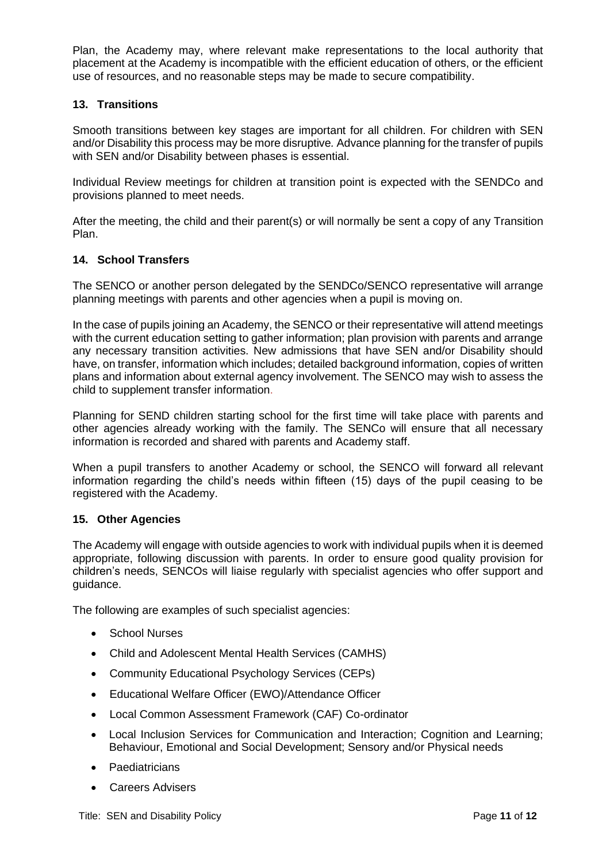Plan, the Academy may, where relevant make representations to the local authority that placement at the Academy is incompatible with the efficient education of others, or the efficient use of resources, and no reasonable steps may be made to secure compatibility.

#### <span id="page-10-0"></span>**13. Transitions**

Smooth transitions between key stages are important for all children. For children with SEN and/or Disability this process may be more disruptive*.* Advance planning for the transfer of pupils with SEN and/or Disability between phases is essential.

Individual Review meetings for children at transition point is expected with the SENDCo and provisions planned to meet needs.

After the meeting, the child and their parent(s) or will normally be sent a copy of any Transition Plan.

#### <span id="page-10-1"></span>**14. School Transfers**

The SENCO or another person delegated by the SENDCo/SENCO representative will arrange planning meetings with parents and other agencies when a pupil is moving on.

In the case of pupils joining an Academy, the SENCO or their representative will attend meetings with the current education setting to gather information; plan provision with parents and arrange any necessary transition activities. New admissions that have SEN and/or Disability should have, on transfer, information which includes; detailed background information, copies of written plans and information about external agency involvement. The SENCO may wish to assess the child to supplement transfer information.

Planning for SEND children starting school for the first time will take place with parents and other agencies already working with the family. The SENCo will ensure that all necessary information is recorded and shared with parents and Academy staff.

When a pupil transfers to another Academy or school, the SENCO will forward all relevant information regarding the child's needs within fifteen (15) days of the pupil ceasing to be registered with the Academy.

#### <span id="page-10-2"></span>**15. Other Agencies**

The Academy will engage with outside agencies to work with individual pupils when it is deemed appropriate, following discussion with parents. In order to ensure good quality provision for children's needs, SENCOs will liaise regularly with specialist agencies who offer support and guidance.

The following are examples of such specialist agencies:

- School Nurses
- Child and Adolescent Mental Health Services (CAMHS)
- Community Educational Psychology Services (CEPs)
- Educational Welfare Officer (EWO)/Attendance Officer
- Local Common Assessment Framework (CAF) Co-ordinator
- Local Inclusion Services for Communication and Interaction; Cognition and Learning; Behaviour, Emotional and Social Development; Sensory and/or Physical needs
- Paediatricians
- Careers Advisers